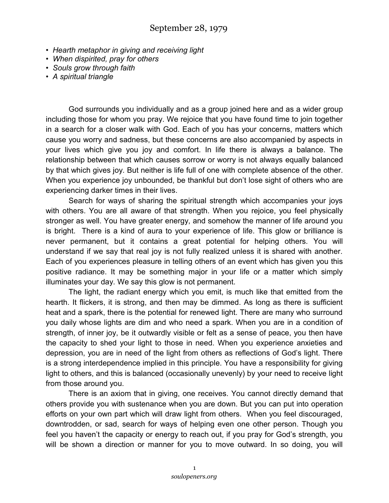- *Hearth metaphor in giving and receiving light*
- *When dispirited, pray for others*
- *Souls grow through faith*
- *A spiritual triangle*

God surrounds you individually and as a group joined here and as a wider group including those for whom you pray. We rejoice that you have found time to join together in a search for a closer walk with God. Each of you has your concerns, matters which cause you worry and sadness, but these concerns are also accompanied by aspects in your lives which give you joy and comfort. In life there is always a balance. The relationship between that which causes sorrow or worry is not always equally balanced by that which gives joy. But neither is life full of one with complete absence of the other. When you experience joy unbounded, be thankful but don't lose sight of others who are experiencing darker times in their lives.

Search for ways of sharing the spiritual strength which accompanies your joys with others. You are all aware of that strength. When you rejoice, you feel physically stronger as well. You have greater energy, and somehow the manner of life around you is bright. There is a kind of aura to your experience of life. This glow or brilliance is never permanent, but it contains a great potential for helping others. You will understand if we say that real joy is not fully realized unless it is shared with another. Each of you experiences pleasure in telling others of an event which has given you this positive radiance. It may be something major in your life or a matter which simply illuminates your day. We say this glow is not permanent.

The light, the radiant energy which you emit, is much like that emitted from the hearth. It flickers, it is strong, and then may be dimmed. As long as there is sufficient heat and a spark, there is the potential for renewed light. There are many who surround you daily whose lights are dim and who need a spark. When you are in a condition of strength, of inner joy, be it outwardly visible or felt as a sense of peace, you then have the capacity to shed your light to those in need. When you experience anxieties and depression, you are in need of the light from others as reflections of God's light. There is a strong interdependence implied in this principle. You have a responsibility for giving light to others, and this is balanced (occasionally unevenly) by your need to receive light from those around you.

There is an axiom that in giving, one receives. You cannot directly demand that others provide you with sustenance when you are down. But you can put into operation efforts on your own part which will draw light from others. When you feel discouraged, downtrodden, or sad, search for ways of helping even one other person. Though you feel you haven't the capacity or energy to reach out, if you pray for God's strength, you will be shown a direction or manner for you to move outward. In so doing, you will